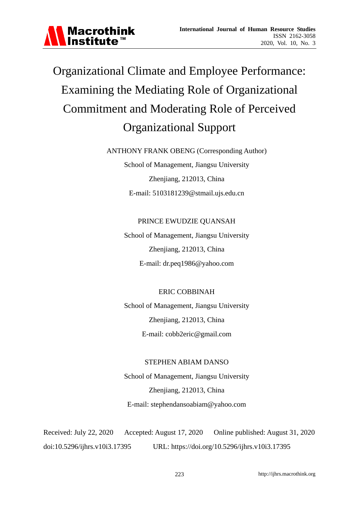

# Organizational Climate and Employee Performance: Examining the Mediating Role of Organizational Commitment and Moderating Role of Perceived Organizational Support

ANTHONY FRANK OBENG (Corresponding Author)

School of Management, Jiangsu University Zhenjiang, 212013, China E-mail: [5103181239@stmail.ujs.edu.cn](mailto:5103181239@stmail.ujs.edu.cn)

# PRINCE EWUDZIE QUANSAH

School of Management, Jiangsu University Zhenjiang, 212013, China E-mail: [dr.peq1986@yahoo.com](mailto:dr.peq1986@yahoo.com)

# ERIC COBBINAH

School of Management, Jiangsu University Zhenjiang, 212013, China E-mail: [cobb2eric@gmail.com](mailto:cobb2eric@gmail.com)

# STEPHEN ABIAM DANSO

School of Management, Jiangsu University Zhenjiang, 212013, China E-mail: [stephendansoabiam@yahoo.com](mailto:stephendansoabiam@yahoo.com)

Received: July 22, 2020 Accepted: August 17, 2020 Online published: August 31, 2020 doi:10.5296/ijhrs.v10i3.17395 URL: https://doi.org/10.5296/ijhrs.v10i3.17395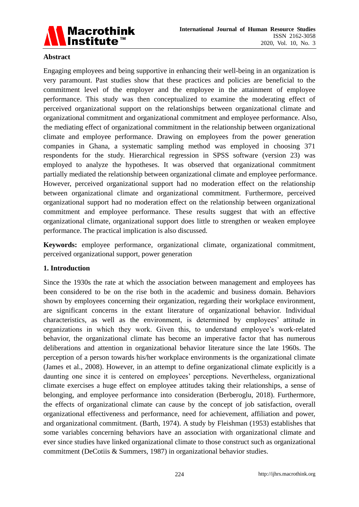

#### **Abstract**

Engaging employees and being supportive in enhancing their well-being in an organization is very paramount. Past studies show that these practices and policies are beneficial to the commitment level of the employer and the employee in the attainment of employee performance. This study was then conceptualized to examine the moderating effect of perceived organizational support on the relationships between organizational climate and organizational commitment and organizational commitment and employee performance. Also, the mediating effect of organizational commitment in the relationship between organizational climate and employee performance. Drawing on employees from the power generation companies in Ghana, a systematic sampling method was employed in choosing 371 respondents for the study. Hierarchical regression in SPSS software (version 23) was employed to analyze the hypotheses. It was observed that organizational commitment partially mediated the relationship between organizational climate and employee performance. However, perceived organizational support had no moderation effect on the relationship between organizational climate and organizational commitment. Furthermore, perceived organizational support had no moderation effect on the relationship between organizational commitment and employee performance. These results suggest that with an effective organizational climate, organizational support does little to strengthen or weaken employee performance. The practical implication is also discussed.

**Keywords:** employee performance, organizational climate, organizational commitment, perceived organizational support, power generation

# **1. Introduction**

Since the 1930s the rate at which the association between management and employees has been considered to be on the rise both in the academic and business domain. Behaviors shown by employees concerning their organization, regarding their workplace environment, are significant concerns in the extant literature of organizational behavior. Individual characteristics, as well as the environment, is determined by employees' attitude in organizations in which they work. Given this, to understand employee's work-related behavior, the organizational climate has become an imperative factor that has numerous deliberations and attention in organizational behavior literature since the late 1960s. The perception of a person towards his/her workplace environments is the organizational climate (James et al., 2008). However, in an attempt to define organizational climate explicitly is a daunting one since it is centered on employees' perceptions. Nevertheless, organizational climate exercises a huge effect on employee attitudes taking their relationships, a sense of belonging, and employee performance into consideration (Berberoglu, 2018). Furthermore, the effects of organizational climate can cause by the concept of job satisfaction, overall organizational effectiveness and performance, need for achievement, affiliation and power, and organizational commitment. (Barth, 1974). A study by Fleishman (1953) establishes that some variables concerning behaviors have an association with organizational climate and ever since studies have linked organizational climate to those construct such as organizational commitment (DeCotiis & Summers, 1987) in organizational behavior studies.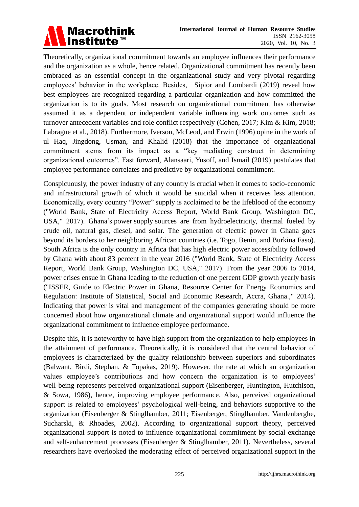

Theoretically, organizational commitment towards an employee influences their performance and the organization as a whole, hence related. Organizational commitment has recently been embraced as an essential concept in the organizational study and very pivotal regarding employees' behavior in the workplace. Besides, Sipior and Lombardi (2019) reveal how best employees are recognized regarding a particular organization and how committed the organization is to its goals. Most research on organizational commitment has otherwise assumed it as a dependent or independent variable influencing work outcomes such as turnover antecedent variables and role conflict respectively (Cohen, 2017; Kim & Kim, 2018; Labrague et al., 2018). Furthermore, Iverson, McLeod, and Erwin (1996) opine in the work of ul Haq, Jingdong, Usman, and Khalid (2018) that the importance of organizational commitment stems from its impact as a "key mediating construct in determining organizational outcomes". Fast forward, Alansaari, Yusoff, and Ismail (2019) postulates that employee performance correlates and predictive by organizational commitment.

Conspicuously, the power industry of any country is crucial when it comes to socio-economic and infrastructural growth of which it would be suicidal when it receives less attention. Economically, every country "Power" supply is acclaimed to be the lifeblood of the economy ("World Bank, State of Electricity Access Report, World Bank Group, Washington DC, USA," 2017). Ghana's power supply sources are from hydroelectricity, thermal fueled by crude oil, natural gas, diesel, and solar. The generation of electric power in Ghana goes beyond its borders to her neighboring African countries (i.e. Togo, Benin, and Burkina Faso). South Africa is the only country in Africa that has high electric power accessibility followed by Ghana with about 83 percent in the year 2016 ("World Bank, State of Electricity Access Report, World Bank Group, Washington DC, USA," 2017). From the year 2006 to 2014, power crises ensue in Ghana leading to the reduction of one percent GDP growth yearly basis ("ISSER, Guide to Electric Power in Ghana, Resource Center for Energy Economics and Regulation: Institute of Statistical, Social and Economic Research, Accra, Ghana.," 2014). Indicating that power is vital and management of the companies generating should be more concerned about how organizational climate and organizational support would influence the organizational commitment to influence employee performance.

Despite this, it is noteworthy to have high support from the organization to help employees in the attainment of performance. Theoretically, it is considered that the central behavior of employees is characterized by the quality relationship between superiors and subordinates (Balwant, Birdi, Stephan, & Topakas, 2019). However, the rate at which an organization values employee's contributions and how concern the organization is to employees' well-being represents perceived organizational support (Eisenberger, Huntington, Hutchison, & Sowa, 1986), hence, improving employee performance. Also, perceived organizational support is related to employees' psychological well-being, and behaviors supportive to the organization (Eisenberger & Stinglhamber, 2011; Eisenberger, Stinglhamber, Vandenberghe, Sucharski, & Rhoades, 2002). According to organizational support theory, perceived organizational support is noted to influence organizational commitment by social exchange and self-enhancement processes (Eisenberger & Stinglhamber, 2011). Nevertheless, several researchers have overlooked the moderating effect of perceived organizational support in the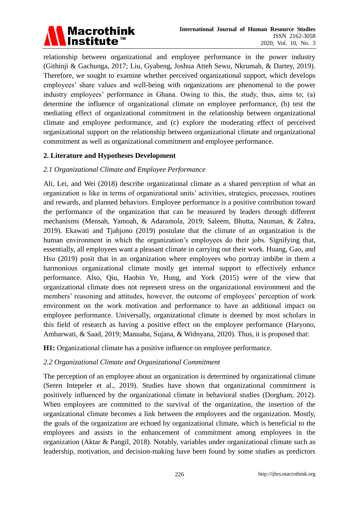

relationship between organizational and employee performance in the power industry (Githinji & Gachunga, 2017; Liu, Gyabeng, Joshua Atteh Sewu, Nkrumah, & Dartey, 2019). Therefore, we sought to examine whether perceived organizational support, which develops employees' share values and well-being with organizations are phenomenal to the power industry employees' performance in Ghana. Owing to this, the study, thus, aims to; (a) determine the influence of organizational climate on employee performance, (b) test the mediating effect of organizational commitment in the relationship between organizational climate and employee performance, and (c) explore the moderating effect of perceived organizational support on the relationship between organizational climate and organizational commitment as well as organizational commitment and employee performance.

## **2. Literature and Hypotheses Development**

## *2.1 Organizational Climate and Employee Performance*

Ali, Lei, and Wei (2018) describe organizational climate as a shared perception of what an organization is like in terms of organizational units' activities, strategies, processes, routines and rewards, and planned behaviors. Employee performance is a positive contribution toward the performance of the organization that can be measured by leaders through different mechanisms (Mensah, Yamoah, & Adaramola, 2019; Saleem, Bhutta, Nauman, & Zahra, 2019). Ekawati and Tjahjono (2019) postulate that the climate of an organization is the human environment in which the organization's employees do their jobs. Signifying that, essentially, all employees want a pleasant climate in carrying out their work. Huang, Gao, and Hsu (2019) posit that in an organization where employees who portray imbibe in them a harmonious organizational climate mostly get internal support to effectively enhance performance. Also, Qiu, Haobin Ye, Hung, and York (2015) were of the view that organizational climate does not represent stress on the organizational environment and the members' reasoning and attitudes, however, the outcome of employees' perception of work environment on the work motivation and performance to have an additional impact on employee performance. Universally, organizational climate is deemed by most scholars in this field of research as having a positive effect on the employee performance (Haryono, Ambarwati, & Saad, 2019; Manuaba, Sujana, & Widnyana, 2020). Thus, it is proposed that:

**H1:** Organizational climate has a positive influence on employee performance.

#### *2.2 Organizational Climate and Organizational Commitment*

The perception of an employee about an organization is determined by organizational climate (Seren Intepeler et al., 2019). Studies have shown that organizational commitment is positively influenced by the organizational climate in behavioral studies (Dorgham, 2012). When employees are committed to the survival of the organization, the insertion of the organizational climate becomes a link between the employees and the organization. Mostly, the goals of the organization are echoed by organizational climate, which is beneficial to the employees and assists in the enhancement of commitment among employees in the organization (Aktar & Pangil, 2018). Notably, variables under organizational climate such as leadership, motivation, and decision-making have been found by some studies as predictors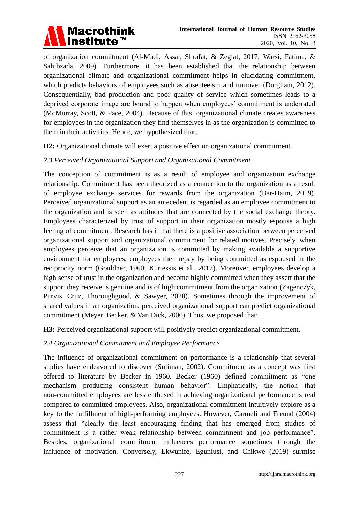

of organization commitment (Al-Madi, Assal, Shrafat, & Zeglat, 2017; Warsi, Fatima, & Sahibzada, 2009). Furthermore, it has been established that the relationship between organizational climate and organizational commitment helps in elucidating commitment, which predicts behaviors of employees such as absenteeism and turnover (Dorgham, 2012). Consequentially, bad production and poor quality of service which sometimes leads to a deprived corporate image are bound to happen when employees' commitment is underrated (McMurray, Scott, & Pace, 2004). Because of this, organizational climate creates awareness for employees in the organization they find themselves in as the organization is committed to them in their activities. Hence, we hypothesized that;

**H2:** Organizational climate will exert a positive effect on organizational commitment.

# *2.3 Perceived Organizational Support and Organizational Commitment*

The conception of commitment is as a result of employee and organization exchange relationship. Commitment has been theorized as a connection to the organization as a result of employee exchange services for rewards from the organization (Bar-Haim, 2019). Perceived organizational support as an antecedent is regarded as an employee commitment to the organization and is seen as attitudes that are connected by the social exchange theory. Employees characterized by trust of support in their organization mostly espouse a high feeling of commitment. Research has it that there is a positive association between perceived organizational support and organizational commitment for related motives. Precisely, when employees perceive that an organization is committed by making available a supportive environment for employees, employees then repay by being committed as espoused in the reciprocity norm (Gouldner, 1960; Kurtessis et al., 2017). Moreover, employees develop a high sense of trust in the organization and become highly committed when they assert that the support they receive is genuine and is of high commitment from the organization (Zagenczyk, Purvis, Cruz, Thoroughgood, & Sawyer, 2020). Sometimes through the improvement of shared values in an organization, perceived organizational support can predict organizational commitment (Meyer, Becker, & Van Dick, 2006). Thus, we proposed that:

**H3:** Perceived organizational support will positively predict organizational commitment.

# *2.4 Organizational Commitment and Employee Performance*

The influence of organizational commitment on performance is a relationship that several studies have endeavored to discover (Suliman, 2002). Commitment as a concept was first offered to literature by Becker in 1960. Becker (1960) defined commitment as "one mechanism producing consistent human behavior". Emphatically, the notion that non-committed employees are less enthused in achieving organizational performance is real compared to committed employees. Also, organizational commitment intuitively explore as a key to the fulfillment of high-performing employees. However, Carmeli and Freund (2004) assess that "clearly the least encouraging finding that has emerged from studies of commitment is a rather weak relationship between commitment and job performance". Besides, organizational commitment influences performance sometimes through the influence of motivation. Conversely, Ekwunife, Egunlusi, and Chikwe (2019) surmise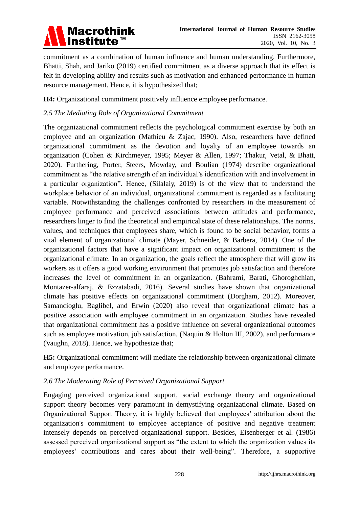

commitment as a combination of human influence and human understanding. Furthermore, Bhatti, Shah, and Jariko (2019) certified commitment as a diverse approach that its effect is felt in developing ability and results such as motivation and enhanced performance in human resource management. Hence, it is hypothesized that;

**H4:** Organizational commitment positively influence employee performance.

# *2.5 The Mediating Role of Organizational Commitment*

The organizational commitment reflects the psychological commitment exercise by both an employee and an organization (Mathieu & Zajac, 1990). Also, researchers have defined organizational commitment as the devotion and loyalty of an employee towards an organization (Cohen & Kirchmeyer, 1995; Meyer & Allen, 1997; Thakur, Vetal, & Bhatt, 2020). Furthering, Porter, Steers, Mowday, and Boulian (1974) describe organizational commitment as "the relative strength of an individual's identification with and involvement in a particular organization". Hence, (Silalaiy, 2019) is of the view that to understand the workplace behavior of an individual, organizational commitment is regarded as a facilitating variable. Notwithstanding the challenges confronted by researchers in the measurement of employee performance and perceived associations between attitudes and performance, researchers linger to find the theoretical and empirical state of these relationships. The norms, values, and techniques that employees share, which is found to be social behavior, forms a vital element of organizational climate (Mayer, Schneider, & Barbera, 2014). One of the organizational factors that have a significant impact on organizational commitment is the organizational climate. In an organization, the goals reflect the atmosphere that will grow its workers as it offers a good working environment that promotes job satisfaction and therefore increases the level of commitment in an organization. (Bahrami, Barati, Ghoroghchian, Montazer-alfaraj, & Ezzatabadi, 2016). Several studies have shown that organizational climate has positive effects on organizational commitment (Dorgham, 2012). Moreover, Samancioglu, Baglibel, and Erwin (2020) also reveal that organizational climate has a positive association with employee commitment in an organization. Studies have revealed that organizational commitment has a positive influence on several organizational outcomes such as employee motivation, job satisfaction, (Naquin & Holton III, 2002), and performance (Vaughn, 2018). Hence, we hypothesize that;

**H5:** Organizational commitment will mediate the relationship between organizational climate and employee performance.

# *2.6 The Moderating Role of Perceived Organizational Support*

Engaging perceived organizational support, social exchange theory and organizational support theory becomes very paramount in demystifying organizational climate. Based on Organizational Support Theory, it is highly believed that employees' attribution about the organization's commitment to employee acceptance of positive and negative treatment intensely depends on perceived organizational support. Besides, Eisenberger et al. (1986) assessed perceived organizational support as "the extent to which the organization values its employees' contributions and cares about their well-being". Therefore, a supportive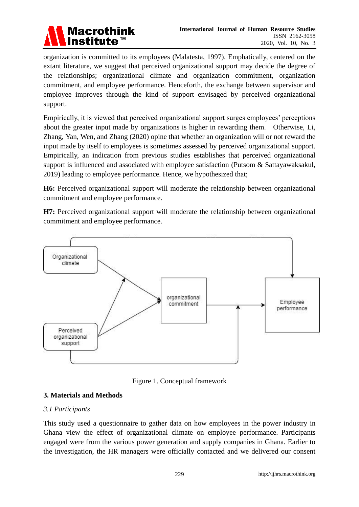

organization is committed to its employees (Malatesta, 1997). Emphatically, centered on the extant literature, we suggest that perceived organizational support may decide the degree of the relationships; organizational climate and organization commitment, organization commitment, and employee performance. Henceforth, the exchange between supervisor and employee improves through the kind of support envisaged by perceived organizational support.

Empirically, it is viewed that perceived organizational support surges employees' perceptions about the greater input made by organizations is higher in rewarding them. Otherwise, Li, Zhang, Yan, Wen, and Zhang (2020) opine that whether an organization will or not reward the input made by itself to employees is sometimes assessed by perceived organizational support. Empirically, an indication from previous studies establishes that perceived organizational support is influenced and associated with employee satisfaction (Putsom & Sattayawaksakul, 2019) leading to employee performance. Hence, we hypothesized that;

**H6:** Perceived organizational support will moderate the relationship between organizational commitment and employee performance.

**H7:** Perceived organizational support will moderate the relationship between organizational commitment and employee performance.



Figure 1. Conceptual framework

# **3. Materials and Methods**

# *3.1 Participants*

This study used a questionnaire to gather data on how employees in the power industry in Ghana view the effect of organizational climate on employee performance. Participants engaged were from the various power generation and supply companies in Ghana. Earlier to the investigation, the HR managers were officially contacted and we delivered our consent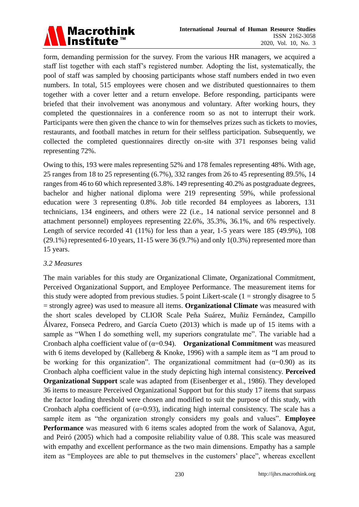

form, demanding permission for the survey. From the various HR managers, we acquired a staff list together with each staff's registered number. Adopting the list, systematically, the pool of staff was sampled by choosing participants whose staff numbers ended in two even numbers. In total, 515 employees were chosen and we distributed questionnaires to them together with a cover letter and a return envelope. Before responding, participants were briefed that their involvement was anonymous and voluntary. After working hours, they completed the questionnaires in a conference room so as not to interrupt their work. Participants were then given the chance to win for themselves prizes such as tickets to movies, restaurants, and football matches in return for their selfless participation. Subsequently, we collected the completed questionnaires directly on-site with 371 responses being valid representing 72%.

Owing to this, 193 were males representing 52% and 178 females representing 48%. With age, 25 ranges from 18 to 25 representing (6.7%), 332 ranges from 26 to 45 representing 89.5%, 14 ranges from 46 to 60 which represented 3.8%. 149 representing 40.2% as postgraduate degrees, bachelor and higher national diploma were 219 representing 59%, while professional education were 3 representing 0.8%. Job title recorded 84 employees as laborers, 131 technicians, 134 engineers, and others were 22 (i.e., 14 national service personnel and 8 attachment personnel) employees representing 22.6%, 35.3%, 36.1%, and 6% respectively. Length of service recorded 41 (11%) for less than a year, 1-5 years were 185 (49.9%), 108  $(29.1\%)$  represented 6-10 years, 11-15 were 36  $(9.7\%)$  and only 1 $(0.3\%)$  represented more than 15 years.

#### *3.2 Measures*

The main variables for this study are Organizational Climate, Organizational Commitment, Perceived Organizational Support, and Employee Performance. The measurement items for this study were adopted from previous studies. 5 point Likert-scale  $(1 =$  strongly disagree to 5 = strongly agree) was used to measure all items. **Organizational Climate** was measured with the short scales developed by CLIOR Scale Peña Suárez, Muñiz Fernández, Campillo Álvarez, Fonseca Pedrero, and García Cueto (2013) which is made up of 15 items with a sample as "When I do something well, my superiors congratulate me". The variable had a Cronbach alpha coefficient value of  $(\alpha=0.94)$ . **Organizational Commitment** was measured with 6 items developed by (Kalleberg & Knoke, 1996) with a sample item as "I am proud to be working for this organization". The organizational commitment had  $(\alpha=0.90)$  as its Cronbach alpha coefficient value in the study depicting high internal consistency. **Perceived Organizational Support** scale was adapted from (Eisenberger et al., 1986). They developed 36 items to measure Perceived Organizational Support but for this study 17 items that surpass the factor loading threshold were chosen and modified to suit the purpose of this study, with Cronbach alpha coefficient of ( $\alpha$ =0.93), indicating high internal consistency. The scale has a sample item as "the organization strongly considers my goals and values". **Employee Performance** was measured with 6 items scales adopted from the work of Salanova, Agut, and Peiró (2005) which had a composite reliability value of 0.88. This scale was measured with empathy and excellent performance as the two main dimensions. Empathy has a sample item as "Employees are able to put themselves in the customers' place", whereas excellent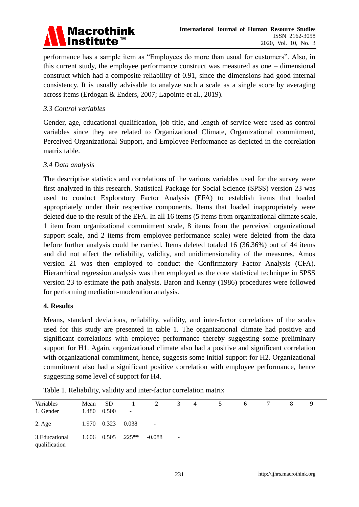

performance has a sample item as "Employees do more than usual for customers". Also, in this current study, the employee performance construct was measured as one – dimensional construct which had a composite reliability of 0.91, since the dimensions had good internal consistency. It is usually advisable to analyze such a scale as a single score by averaging across items (Erdogan & Enders, 2007; Lapointe et al., 2019).

## *3.3 Control variables*

Gender, age, educational qualification, job title, and length of service were used as control variables since they are related to Organizational Climate, Organizational commitment, Perceived Organizational Support, and Employee Performance as depicted in the correlation matrix table.

## *3.4 Data analysis*

The descriptive statistics and correlations of the various variables used for the survey were first analyzed in this research. Statistical Package for Social Science (SPSS) version 23 was used to conduct Exploratory Factor Analysis (EFA) to establish items that loaded appropriately under their respective components. Items that loaded inappropriately were deleted due to the result of the EFA. In all 16 items (5 items from organizational climate scale, 1 item from organizational commitment scale, 8 items from the perceived organizational support scale, and 2 items from employee performance scale) were deleted from the data before further analysis could be carried. Items deleted totaled 16 (36.36%) out of 44 items and did not affect the reliability, validity, and unidimensionality of the measures. Amos version 21 was then employed to conduct the Confirmatory Factor Analysis (CFA). Hierarchical regression analysis was then employed as the core statistical technique in SPSS version 23 to estimate the path analysis. Baron and Kenny (1986) procedures were followed for performing mediation-moderation analysis.

#### **4. Results**

Means, standard deviations, reliability, validity, and inter-factor correlations of the scales used for this study are presented in table 1. The organizational climate had positive and significant correlations with employee performance thereby suggesting some preliminary support for H1. Again, organizational climate also had a positive and significant correlation with organizational commitment, hence, suggests some initial support for H2. Organizational commitment also had a significant positive correlation with employee performance, hence suggesting some level of support for H4.

| Variables                       | Mean  | <b>SD</b>   |                          |          |                          | 4 |  | 8 |  |
|---------------------------------|-------|-------------|--------------------------|----------|--------------------------|---|--|---|--|
| 1. Gender                       | l.480 | 0.500       | $\overline{\phantom{a}}$ |          |                          |   |  |   |  |
| $2. \text{Age}$                 | 1.970 | 0.323       | 0.038                    | $\sim$   |                          |   |  |   |  |
| 3. Educational<br>qualification |       | 1.606 0.505 | $.225**$                 | $-0.088$ | $\overline{\phantom{a}}$ |   |  |   |  |

Table 1. Reliability, validity and inter-factor correlation matrix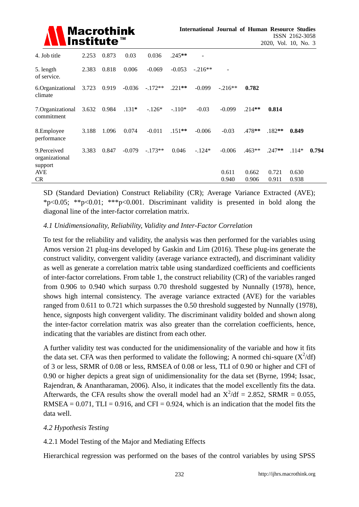

| 4. Job title                       | 2.253 | 0.873 | 0.03     | 0.036    | $.245**$ |           |                |                |                |                |       |
|------------------------------------|-------|-------|----------|----------|----------|-----------|----------------|----------------|----------------|----------------|-------|
| 5. length<br>of service.           | 2.383 | 0.818 | 0.006    | $-0.069$ | $-0.053$ | $-.216**$ |                |                |                |                |       |
| 6. Organizational<br>climate       | 3.723 | 0.919 | $-0.036$ | $-172**$ | $.221**$ | $-0.099$  | $-.216**$      | 0.782          |                |                |       |
| 7. Organizational<br>commitment    | 3.632 | 0.984 | $.131*$  | $-126*$  | $-.110*$ | $-0.03$   | $-0.099$       | $.214**$       | 0.814          |                |       |
| 8.Employee<br>performance          | 3.188 | 1.096 | 0.074    | $-0.011$ | $.151**$ | $-0.006$  | $-0.03$        | $.478**$       | $.182**$       | 0.849          |       |
| 9. Perceived<br>organizational     | 3.383 | 0.847 | $-0.079$ | $-173**$ | 0.046    | $-.124*$  | $-0.006$       | $.463**$       | $.247**$       | $.114*$        | 0.794 |
| support<br><b>AVE</b><br><b>CR</b> |       |       |          |          |          |           | 0.611<br>0.940 | 0.662<br>0.906 | 0.721<br>0.911 | 0.630<br>0.938 |       |

SD (Standard Deviation) Construct Reliability (CR); Average Variance Extracted (AVE); \*p<0.05; \*\*p<0.01; \*\*\*p<0.001. Discriminant validity is presented in bold along the diagonal line of the inter-factor correlation matrix.

## *4.1 Unidimensionality, Reliability, Validity and Inter-Factor Correlation*

To test for the reliability and validity, the analysis was then performed for the variables using Amos version 21 plug-ins developed by Gaskin and Lim (2016). These plug-ins generate the construct validity, convergent validity (average variance extracted), and discriminant validity as well as generate a correlation matrix table using standardized coefficients and coefficients of inter-factor correlations. From table 1, the construct reliability (CR) of the variables ranged from 0.906 to 0.940 which surpass 0.70 threshold suggested by Nunnally (1978), hence, shows high internal consistency. The average variance extracted (AVE) for the variables ranged from 0.611 to 0.721 which surpasses the 0.50 threshold suggested by Nunnally (1978), hence, signposts high convergent validity. The discriminant validity bolded and shown along the inter-factor correlation matrix was also greater than the correlation coefficients, hence, indicating that the variables are distinct from each other.

A further validity test was conducted for the unidimensionality of the variable and how it fits the data set. CFA was then performed to validate the following; A normed chi-square  $(X^2/df)$ of 3 or less, SRMR of 0.08 or less, RMSEA of 0.08 or less, TLI of 0.90 or higher and CFI of 0.90 or higher depicts a great sign of unidimensionality for the data set (Byrne, 1994; Issac, Rajendran, & Anantharaman, 2006). Also, it indicates that the model excellently fits the data. Afterwards, the CFA results show the overall model had an  $X^2/df = 2.852$ , SRMR = 0.055, RMSEA =  $0.071$ , TLI = 0.916, and CFI = 0.924, which is an indication that the model fits the data well.

# *4.2 Hypothesis Testing*

# 4.2.1 Model Testing of the Major and Mediating Effects

Hierarchical regression was performed on the bases of the control variables by using SPSS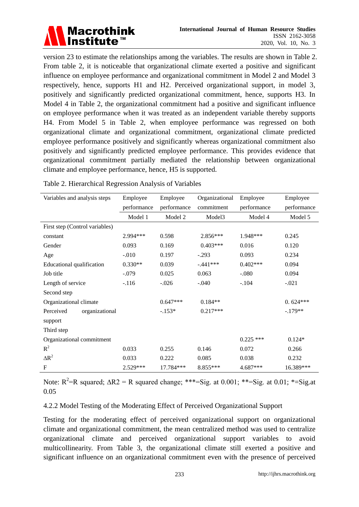

version 23 to estimate the relationships among the variables. The results are shown in Table 2. From table 2, it is noticeable that organizational climate exerted a positive and significant influence on employee performance and organizational commitment in Model 2 and Model 3 respectively, hence, supports H1 and H2. Perceived organizational support, in model 3, positively and significantly predicted organizational commitment, hence, supports H3. In Model 4 in Table 2, the organizational commitment had a positive and significant influence on employee performance when it was treated as an independent variable thereby supports H4. From Model 5 in Table 2, when employee performance was regressed on both organizational climate and organizational commitment, organizational climate predicted employee performance positively and significantly whereas organizational commitment also positively and significantly predicted employee performance. This provides evidence that organizational commitment partially mediated the relationship between organizational climate and employee performance, hence, H5 is supported.

| Variables and analysis steps   | Employee    | Employee    | Organizational     | Employee    | Employee    |  |
|--------------------------------|-------------|-------------|--------------------|-------------|-------------|--|
|                                | performance | performance | commitment         | performance | performance |  |
|                                | Model 1     | Model 2     | Model <sub>3</sub> | Model 4     | Model 5     |  |
| First step (Control variables) |             |             |                    |             |             |  |
| constant                       | 2.994 ***   | 0.598       | 2.856***           | 1.948***    | 0.245       |  |
| Gender                         | 0.093       | 0.169       | $0.403***$         | 0.016       | 0.120       |  |
| Age                            | $-.010$     | 0.197       | $-.293$            | 0.093       | 0.234       |  |
| Educational qualification      | $0.330**$   | 0.039       | $-.441***$         | $0.402***$  | 0.094       |  |
| Job title                      | $-.079$     | 0.025       | 0.063              | $-.080$     | 0.094       |  |
| Length of service              | $-.116$     | $-.026$     | $-.040$            | $-.104$     | $-.021$     |  |
| Second step                    |             |             |                    |             |             |  |
| Organizational climate         |             | $0.647***$  | $0.184**$          |             | $0.624***$  |  |
| Perceived<br>organizational    |             | $-.153*$    | $0.217***$         |             | $-.179**$   |  |
| support                        |             |             |                    |             |             |  |
| Third step                     |             |             |                    |             |             |  |
| Organizational commitment      |             |             |                    | $0.225$ *** | $0.124*$    |  |
| $R^2$                          | 0.033       | 0.255       | 0.146              | 0.072       | 0.266       |  |
| $\Delta R^2$                   | 0.033       | 0.222       | 0.085              | 0.038       | 0.232       |  |
| $\mathbf{F}$                   | 2.529***    | 17.784***   | 8.855***           | 4.687***    | 16.389***   |  |

Table 2. Hierarchical Regression Analysis of Variables

Note:  $R^2=R$  squared;  $\Delta R2 = R$  squared change; \*\*\*=Sig. at 0.001; \*\*=Sig. at 0.01; \*=Sig.at 0.05

# 4.2.2 Model Testing of the Moderating Effect of Perceived Organizational Support

Testing for the moderating effect of perceived organizational support on organizational climate and organizational commitment, the mean centralized method was used to centralize organizational climate and perceived organizational support variables to avoid multicollinearity. From Table 3, the organizational climate still exerted a positive and significant influence on an organizational commitment even with the presence of perceived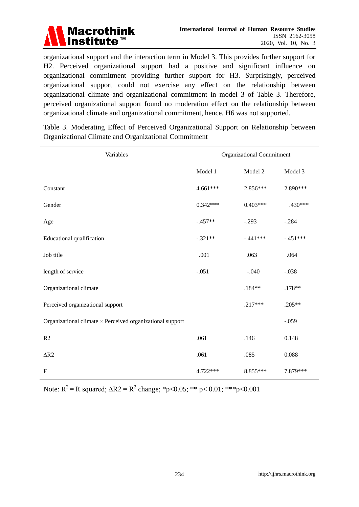

organizational support and the interaction term in Model 3. This provides further support for H2. Perceived organizational support had a positive and significant influence on organizational commitment providing further support for H3. Surprisingly, perceived organizational support could not exercise any effect on the relationship between organizational climate and organizational commitment in model 3 of Table 3. Therefore, perceived organizational support found no moderation effect on the relationship between organizational climate and organizational commitment, hence, H6 was not supported.

Table 3. Moderating Effect of Perceived Organizational Support on Relationship between Organizational Climate and Organizational Commitment

| Variables                                                 | Organizational Commitment |            |            |  |
|-----------------------------------------------------------|---------------------------|------------|------------|--|
|                                                           | Model 1                   | Model 2    | Model 3    |  |
| Constant                                                  | 4.661***                  | 2.856***   | 2.890***   |  |
| Gender                                                    | $0.342***$                | $0.403***$ | .430***    |  |
| Age                                                       | $-.457**$                 | $-.293$    | $-.284$    |  |
| <b>Educational qualification</b>                          | $-.321**$                 | $-.441***$ | $-.451***$ |  |
| Job title                                                 | .001                      | .063       | .064       |  |
| length of service                                         | $-.051$                   | $-.040$    | $-.038$    |  |
| Organizational climate                                    |                           | $.184**$   | $.178**$   |  |
| Perceived organizational support                          |                           | $.217***$  | $.205**$   |  |
| Organizational climate × Perceived organizational support |                           |            | $-.059$    |  |
| R2                                                        | .061                      | .146       | 0.148      |  |
| $\triangle R2$                                            | .061                      | .085       | 0.088      |  |
| $\mathbf{F}$                                              | 4.722***                  | 8.855***   | 7.879***   |  |

Note:  $R^2 = R$  squared;  $\Delta R2 = R^2$  change; \*p<0.05; \*\* p< 0.01; \*\*\*p<0.001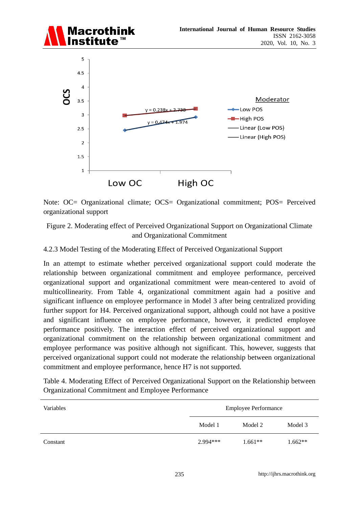

Note: OC= Organizational climate; OCS= Organizational commitment; POS= Perceived organizational support

Figure 2. Moderating effect of Perceived Organizational Support on Organizational Climate and Organizational Commitment

# 4.2.3 Model Testing of the Moderating Effect of Perceived Organizational Support

In an attempt to estimate whether perceived organizational support could moderate the relationship between organizational commitment and employee performance, perceived organizational support and organizational commitment were mean-centered to avoid of multicollinearity. From Table 4, organizational commitment again had a positive and significant influence on employee performance in Model 3 after being centralized providing further support for H4. Perceived organizational support, although could not have a positive and significant influence on employee performance, however, it predicted employee performance positively. The interaction effect of perceived organizational support and organizational commitment on the relationship between organizational commitment and employee performance was positive although not significant. This, however, suggests that perceived organizational support could not moderate the relationship between organizational commitment and employee performance, hence H7 is not supported.

Table 4. Moderating Effect of Perceived Organizational Support on the Relationship between Organizational Commitment and Employee Performance

| Variables | <b>Employee Performance</b> |           |           |  |  |
|-----------|-----------------------------|-----------|-----------|--|--|
|           | Model 1                     | Model 2   | Model 3   |  |  |
| Constant  | $2.994***$                  | $1.661**$ | $1.662**$ |  |  |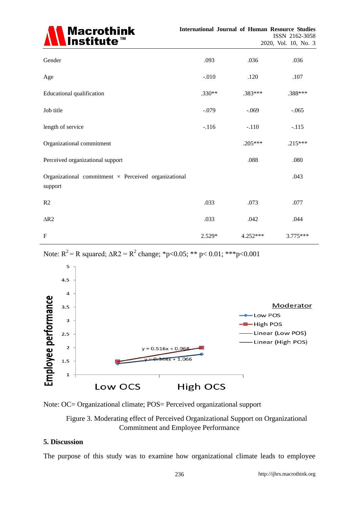

| Gender                                                                 | .093     | .036       | .036      |
|------------------------------------------------------------------------|----------|------------|-----------|
| Age                                                                    | $-.010$  | .120       | .107      |
| Educational qualification                                              | $.330**$ | .383***    | .388***   |
| Job title                                                              | $-.079$  | $-.069$    | $-.065$   |
| length of service                                                      | $-.116$  | $-.110$    | $-.115$   |
| Organizational commitment                                              |          | $.205***$  | $.215***$ |
| Perceived organizational support                                       |          | .088       | .080      |
| Organizational commitment $\times$ Perceived organizational<br>support |          |            | .043      |
| R2                                                                     | .033     | .073       | .077      |
| $\triangle R2$                                                         | .033     | .042       | .044      |
| $\mathbf{F}$                                                           | 2.529*   | $4.252***$ | 3.775***  |

Note:  $R^2 = R$  squared;  $\Delta R2 = R^2$  change; \*p<0.05; \*\* p< 0.01; \*\*\*p<0.001



Note: OC= Organizational climate; POS= Perceived organizational support

Figure 3. Moderating effect of Perceived Organizational Support on Organizational Commitment and Employee Performance

#### **5. Discussion**

The purpose of this study was to examine how organizational climate leads to employee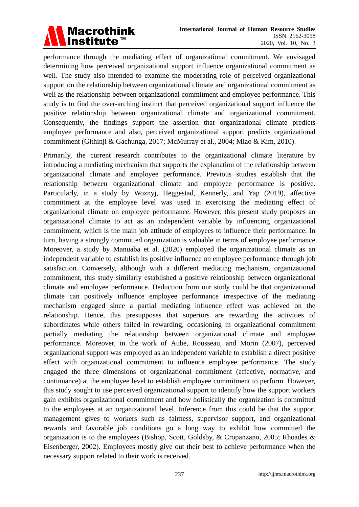

performance through the mediating effect of organizational commitment. We envisaged determining how perceived organizational support influence organizational commitment as well. The study also intended to examine the moderating role of perceived organizational support on the relationship between organizational climate and organizational commitment as well as the relationship between organizational commitment and employee performance. This study is to find the over-arching instinct that perceived organizational support influence the positive relationship between organizational climate and organizational commitment. Consequently, the findings support the assertion that organizational climate predicts employee performance and also, perceived organizational support predicts organizational commitment (Githinji & Gachunga, 2017; McMurray et al., 2004; Miao & Kim, 2010).

Primarily, the current research contributes to the organizational climate literature by introducing a mediating mechanism that supports the explanation of the relationship between organizational climate and employee performance. Previous studies establish that the relationship between organizational climate and employee performance is positive. Particularly, in a study by Woznyj, Heggestad, Kennerly, and Yap (2019), affective commitment at the employee level was used in exercising the mediating effect of organizational climate on employee performance. However, this present study proposes an organizational climate to act as an independent variable by influencing organizational commitment, which is the main job attitude of employees to influence their performance. In turn, having a strongly committed organization is valuable in terms of employee performance. Moreover, a study by Manuaba et al. (2020) employed the organizational climate as an independent variable to establish its positive influence on employee performance through job satisfaction. Conversely, although with a different mediating mechanism, organizational commitment, this study similarly established a positive relationship between organizational climate and employee performance. Deduction from our study could be that organizational climate can positively influence employee performance irrespective of the mediating mechanism engaged since a partial mediating influence effect was achieved on the relationship. Hence, this presupposes that superiors are rewarding the activities of subordinates while others failed in rewarding, occasioning in organizational commitment partially mediating the relationship between organizational climate and employee performance. Moreover, in the work of Aube, Rousseau, and Morin (2007), perceived organizational support was employed as an independent variable to establish a direct positive effect with organizational commitment to influence employee performance. The study engaged the three dimensions of organizational commitment (affective, normative, and continuance) at the employee level to establish employee commitment to perform. However, this study sought to use perceived organizational support to identify how the support workers gain exhibits organizational commitment and how holistically the organization is committed to the employees at an organizational level. Inference from this could be that the support management gives to workers such as fairness, supervisor support, and organizational rewards and favorable job conditions go a long way to exhibit how committed the organization is to the employees (Bishop, Scott, Goldsby, & Cropanzano, 2005; Rhoades & Eisenberger, 2002). Employees mostly give out their best to achieve performance when the necessary support related to their work is received.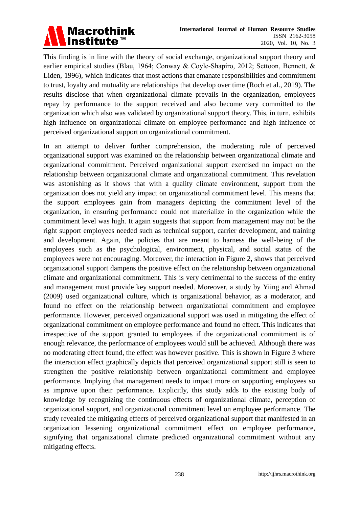

This finding is in line with the theory of social exchange, organizational support theory and earlier empirical studies (Blau, 1964; Conway & Coyle‐Shapiro, 2012; Settoon, Bennett, & Liden, 1996), which indicates that most actions that emanate responsibilities and commitment to trust, loyalty and mutuality are relationships that develop over time (Roch et al., 2019). The results disclose that when organizational climate prevails in the organization, employees repay by performance to the support received and also become very committed to the organization which also was validated by organizational support theory. This, in turn, exhibits high influence on organizational climate on employee performance and high influence of perceived organizational support on organizational commitment.

In an attempt to deliver further comprehension, the moderating role of perceived organizational support was examined on the relationship between organizational climate and organizational commitment. Perceived organizational support exercised no impact on the relationship between organizational climate and organizational commitment. This revelation was astonishing as it shows that with a quality climate environment, support from the organization does not yield any impact on organizational commitment level. This means that the support employees gain from managers depicting the commitment level of the organization, in ensuring performance could not materialize in the organization while the commitment level was high. It again suggests that support from management may not be the right support employees needed such as technical support, carrier development, and training and development. Again, the policies that are meant to harness the well-being of the employees such as the psychological, environment, physical, and social status of the employees were not encouraging. Moreover, the interaction in Figure 2, shows that perceived organizational support dampens the positive effect on the relationship between organizational climate and organizational commitment. This is very detrimental to the success of the entity and management must provide key support needed. Moreover, a study by Yiing and Ahmad (2009) used organizational culture, which is organizational behavior, as a moderator, and found no effect on the relationship between organizational commitment and employee performance. However, perceived organizational support was used in mitigating the effect of organizational commitment on employee performance and found no effect. This indicates that irrespective of the support granted to employees if the organizational commitment is of enough relevance, the performance of employees would still be achieved. Although there was no moderating effect found, the effect was however positive. This is shown in Figure 3 where the interaction effect graphically depicts that perceived organizational support still is seen to strengthen the positive relationship between organizational commitment and employee performance. Implying that management needs to impact more on supporting employees so as improve upon their performance. Explicitly, this study adds to the existing body of knowledge by recognizing the continuous effects of organizational climate, perception of organizational support, and organizational commitment level on employee performance. The study revealed the mitigating effects of perceived organizational support that manifested in an organization lessening organizational commitment effect on employee performance, signifying that organizational climate predicted organizational commitment without any mitigating effects.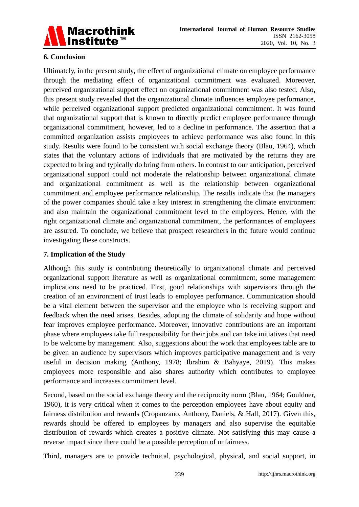

# **6. Conclusion**

Ultimately, in the present study, the effect of organizational climate on employee performance through the mediating effect of organizational commitment was evaluated. Moreover, perceived organizational support effect on organizational commitment was also tested. Also, this present study revealed that the organizational climate influences employee performance, while perceived organizational support predicted organizational commitment. It was found that organizational support that is known to directly predict employee performance through organizational commitment, however, led to a decline in performance. The assertion that a committed organization assists employees to achieve performance was also found in this study. Results were found to be consistent with social exchange theory (Blau, 1964), which states that the voluntary actions of individuals that are motivated by the returns they are expected to bring and typically do bring from others. In contrast to our anticipation, perceived organizational support could not moderate the relationship between organizational climate and organizational commitment as well as the relationship between organizational commitment and employee performance relationship. The results indicate that the managers of the power companies should take a key interest in strengthening the climate environment and also maintain the organizational commitment level to the employees. Hence, with the right organizational climate and organizational commitment, the performances of employees are assured. To conclude, we believe that prospect researchers in the future would continue investigating these constructs.

### **7. Implication of the Study**

Although this study is contributing theoretically to organizational climate and perceived organizational support literature as well as organizational commitment, some management implications need to be practiced. First, good relationships with supervisors through the creation of an environment of trust leads to employee performance. Communication should be a vital element between the supervisor and the employee who is receiving support and feedback when the need arises. Besides, adopting the climate of solidarity and hope without fear improves employee performance. Moreover, innovative contributions are an important phase where employees take full responsibility for their jobs and can take initiatives that need to be welcome by management. Also, suggestions about the work that employees table are to be given an audience by supervisors which improves participative management and is very useful in decision making (Anthony, 1978; Ibrahim & Bahyaye, 2019). This makes employees more responsible and also shares authority which contributes to employee performance and increases commitment level.

Second, based on the social exchange theory and the reciprocity norm (Blau, 1964; Gouldner, 1960), it is very critical when it comes to the perception employees have about equity and fairness distribution and rewards (Cropanzano, Anthony, Daniels, & Hall, 2017). Given this, rewards should be offered to employees by managers and also supervise the equitable distribution of rewards which creates a positive climate. Not satisfying this may cause a reverse impact since there could be a possible perception of unfairness.

Third, managers are to provide technical, psychological, physical, and social support, in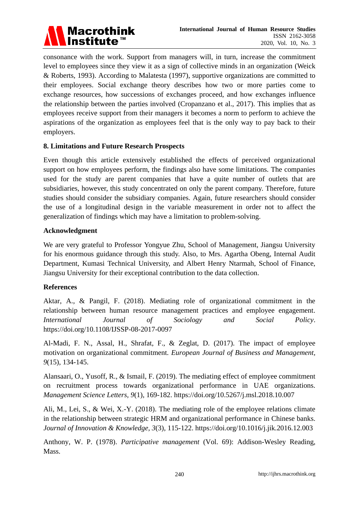

consonance with the work. Support from managers will, in turn, increase the commitment level to employees since they view it as a sign of collective minds in an organization (Weick & Roberts, 1993). According to Malatesta (1997), supportive organizations are committed to their employees. Social exchange theory describes how two or more parties come to exchange resources, how successions of exchanges proceed, and how exchanges influence the relationship between the parties involved (Cropanzano et al., 2017). This implies that as employees receive support from their managers it becomes a norm to perform to achieve the aspirations of the organization as employees feel that is the only way to pay back to their employers.

## **8. Limitations and Future Research Prospects**

Even though this article extensively established the effects of perceived organizational support on how employees perform, the findings also have some limitations. The companies used for the study are parent companies that have a quite number of outlets that are subsidiaries, however, this study concentrated on only the parent company. Therefore, future studies should consider the subsidiary companies. Again, future researchers should consider the use of a longitudinal design in the variable measurement in order not to affect the generalization of findings which may have a limitation to problem-solving.

#### **Acknowledgment**

We are very grateful to Professor Yongyue Zhu, School of Management, Jiangsu University for his enormous guidance through this study. Also, to Mrs. Agartha Obeng, Internal Audit Department, Kumasi Technical University, and Albert Henry Ntarmah, School of Finance, Jiangsu University for their exceptional contribution to the data collection.

#### **References**

Aktar, A., & Pangil, F. (2018). Mediating role of organizational commitment in the relationship between human resource management practices and employee engagement. *International Journal of Sociology and Social Policy*. <https://doi.org/10.1108/IJSSP-08-2017-0097>

Al-Madi, F. N., Assal, H., Shrafat, F., & Zeglat, D. (2017). The impact of employee motivation on organizational commitment. *European Journal of Business and Management, 9*(15), 134-145.

Alansaari, O., Yusoff, R., & Ismail, F. (2019). The mediating effect of employee commitment on recruitment process towards organizational performance in UAE organizations. *Management Science Letters, 9*(1), 169-182.<https://doi.org/10.5267/j.msl.2018.10.007>

Ali, M., Lei, S., & Wei, X.-Y. (2018). The mediating role of the employee relations climate in the relationship between strategic HRM and organizational performance in Chinese banks. *Journal of Innovation & Knowledge, 3*(3), 115-122.<https://doi.org/10.1016/j.jik.2016.12.003>

Anthony, W. P. (1978). *Participative management* (Vol. 69): Addison-Wesley Reading, Mass.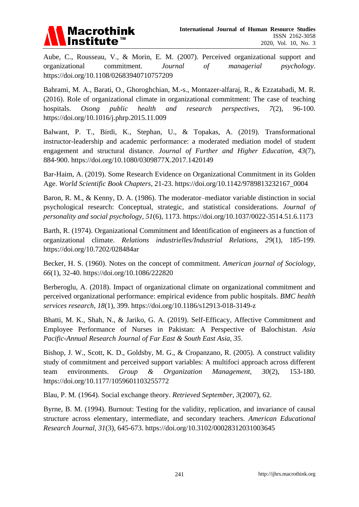

Aube, C., Rousseau, V., & Morin, E. M. (2007). Perceived organizational support and organizational commitment. *Journal of managerial psychology*. <https://doi.org/10.1108/02683940710757209>

Bahrami, M. A., Barati, O., Ghoroghchian, M.-s., Montazer-alfaraj, R., & Ezzatabadi, M. R. (2016). Role of organizational climate in organizational commitment: The case of teaching hospitals. *Osong public health and research perspectives, 7*(2), 96-100. <https://doi.org/10.1016/j.phrp.2015.11.009>

Balwant, P. T., Birdi, K., Stephan, U., & Topakas, A. (2019). Transformational instructor-leadership and academic performance: a moderated mediation model of student engagement and structural distance. *Journal of Further and Higher Education, 43*(7), 884-900.<https://doi.org/10.1080/0309877X.2017.1420149>

Bar-Haim, A. (2019). Some Research Evidence on Organizational Commitment in its Golden Age. *World Scientific Book Chapters*, 21-23. [https://doi.org/10.1142/9789813232167\\_0004](https://doi.org/10.1142/9789813232167_0004)

Baron, R. M., & Kenny, D. A. (1986). The moderator–mediator variable distinction in social psychological research: Conceptual, strategic, and statistical considerations. *Journal of personality and social psychology, 51*(6), 1173.<https://doi.org/10.1037/0022-3514.51.6.1173>

Barth, R. (1974). Organizational Commitment and Identification of engineers as a function of organizational climate. *Relations industrielles/Industrial Relations, 29*(1), 185-199. <https://doi.org/10.7202/028484ar>

Becker, H. S. (1960). Notes on the concept of commitment. *American journal of Sociology, 66*(1), 32-40.<https://doi.org/10.1086/222820>

Berberoglu, A. (2018). Impact of organizational climate on organizational commitment and perceived organizational performance: empirical evidence from public hospitals. *BMC health services research, 18*(1), 399.<https://doi.org/10.1186/s12913-018-3149-z>

Bhatti, M. K., Shah, N., & Jariko, G. A. (2019). Self-Efficacy, Affective Commitment and Employee Performance of Nurses in Pakistan: A Perspective of Balochistan. *Asia Pacific-Annual Research Journal of Far East & South East Asia, 35*.

Bishop, J. W., Scott, K. D., Goldsby, M. G., & Cropanzano, R. (2005). A construct validity study of commitment and perceived support variables: A multifoci approach across different team environments. *Group & Organization Management, 30*(2), 153-180. <https://doi.org/10.1177/1059601103255772>

Blau, P. M. (1964). Social exchange theory. *Retrieved September, 3*(2007), 62.

Byrne, B. M. (1994). Burnout: Testing for the validity, replication, and invariance of causal structure across elementary, intermediate, and secondary teachers. *American Educational Research Journal, 31*(3), 645-673.<https://doi.org/10.3102/00028312031003645>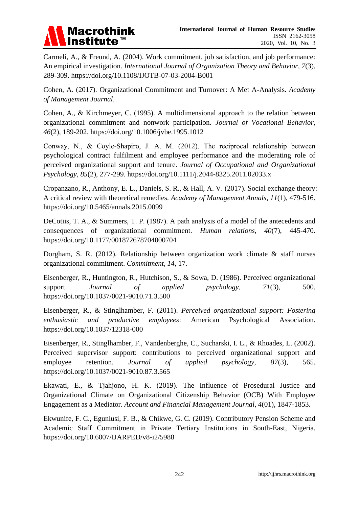

Carmeli, A., & Freund, A. (2004). Work commitment, job satisfaction, and job performance: An empirical investigation. *International Journal of Organization Theory and Behavior, 7*(3), 289-309.<https://doi.org/10.1108/IJOTB-07-03-2004-B001>

Cohen, A. (2017). Organizational Commitment and Turnover: A Met A-Analysis. *Academy of Management Journal*.

Cohen, A., & Kirchmeyer, C. (1995). A multidimensional approach to the relation between organizational commitment and nonwork participation. *Journal of Vocational Behavior, 46*(2), 189-202.<https://doi.org/10.1006/jvbe.1995.1012>

Conway, N., & Coyle‐Shapiro, J. A. M. (2012). The reciprocal relationship between psychological contract fulfilment and employee performance and the moderating role of perceived organizational support and tenure. *Journal of Occupational and Organizational Psychology, 85*(2), 277-299.<https://doi.org/10.1111/j.2044-8325.2011.02033.x>

Cropanzano, R., Anthony, E. L., Daniels, S. R., & Hall, A. V. (2017). Social exchange theory: A critical review with theoretical remedies. *Academy of Management Annals, 11*(1), 479-516. <https://doi.org/10.5465/annals.2015.0099>

DeCotiis, T. A., & Summers, T. P. (1987). A path analysis of a model of the antecedents and consequences of organizational commitment. *Human relations, 40*(7), 445-470. <https://doi.org/10.1177/001872678704000704>

Dorgham, S. R. (2012). Relationship between organization work climate & staff nurses organizational commitment. *Commitment, 14*, 17.

Eisenberger, R., Huntington, R., Hutchison, S., & Sowa, D. (1986). Perceived organizational support. *Journal of applied psychology, 71*(3), 500. <https://doi.org/10.1037/0021-9010.71.3.500>

Eisenberger, R., & Stinglhamber, F. (2011). *Perceived organizational support: Fostering enthusiastic and productive employees*: American Psychological Association. <https://doi.org/10.1037/12318-000>

Eisenberger, R., Stinglhamber, F., Vandenberghe, C., Sucharski, I. L., & Rhoades, L. (2002). Perceived supervisor support: contributions to perceived organizational support and employee retention. *Journal of applied psychology, 87*(3), 565. <https://doi.org/10.1037/0021-9010.87.3.565>

Ekawati, E., & Tjahjono, H. K. (2019). The Influence of Prosedural Justice and Organizational Climate on Organizational Citizenship Behavior (OCB) With Employee Engagement as a Mediator. *Account and Financial Management Journal, 4*(01), 1847-1853.

Ekwunife, F. C., Egunlusi, F. B., & Chikwe, G. C. (2019). Contributory Pension Scheme and Academic Staff Commitment in Private Tertiary Institutions in South-East, Nigeria. <https://doi.org/10.6007/IJARPED/v8-i2/5988>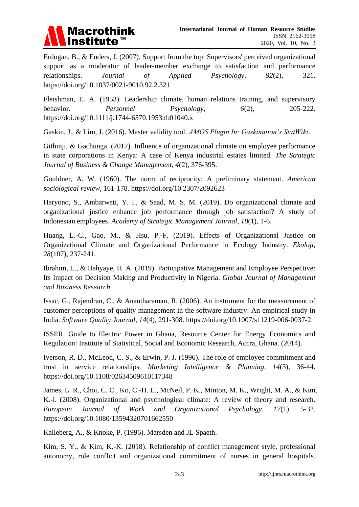

Erdogan, B., & Enders, J. (2007). Support from the top: Supervisors' perceived organizational support as a moderator of leader-member exchange to satisfaction and performance relationships. *Journal of Applied Psychology, 92*(2), 321. <https://doi.org/10.1037/0021-9010.92.2.321>

Fleishman, E. A. (1953). Leadership climate, human relations training, and supervisory behavior. *Personnel Psychology*, 6(2), 205-222. <https://doi.org/10.1111/j.1744-6570.1953.tb01040.x>

Gaskin, J., & Lim, J. (2016). Master validity tool. *AMOS Plugin In: Gaskination's StatWiki*.

Githinji, & Gachunga. (2017). Influence of organizational climate on employee performance in state corporations in Kenya: A case of Kenya industrial estates limited. *The Strategic Journal of Business & Change Management, 4*(2), 376-395.

Gouldner, A. W. (1960). The norm of reciprocity: A preliminary statement. *American sociological review*, 161-178.<https://doi.org/10.2307/2092623>

Haryono, S., Ambarwati, Y. I., & Saad, M. S. M. (2019). Do organizational climate and organizational justice enhance job performance through job satisfaction? A study of Indonesian employees. *Academy of Strategic Management Journal, 18*(1), 1-6.

Huang, L.-C., Gao, M., & Hsu, P.-F. (2019). Effects of Organizational Justice on Organizational Climate and Organizational Performance in Ecology Industry. *Ekoloji, 28*(107), 237-241.

Ibrahim, L., & Bahyaye, H. A. (2019). Participative Management and Employee Perspective: Its Impact on Decision Making and Productivity in Nigeria. *Global Journal of Management and Business Research*.

Issac, G., Rajendran, C., & Anantharaman, R. (2006). An instrument for the measurement of customer perceptions of quality management in the software industry: An empirical study in India. *Software Quality Journal, 14*(4), 291-308.<https://doi.org/10.1007/s11219-006-0037-2>

ISSER, Guide to Electric Power in Ghana, Resource Center for Energy Economics and Regulation: Institute of Statistical, Social and Economic Research, Accra, Ghana. (2014).

Iverson, R. D., McLeod, C. S., & Erwin, P. J. (1996). The role of employee commitment and trust in service relationships. *Marketing Intelligence & Planning, 14*(3), 36-44. <https://doi.org/10.1108/02634509610117348>

James, L. R., Choi, C. C., Ko, C.-H. E., McNeil, P. K., Minton, M. K., Wright, M. A., & Kim, K.-i. (2008). Organizational and psychological climate: A review of theory and research. *European Journal of Work and Organizational Psychology, 17*(1), 5-32. <https://doi.org/10.1080/13594320701662550>

Kalleberg, A., & Knoke, P. (1996). Marsden and JL Spaeth.

Kim, S. Y., & Kim, K.-K. (2018). Relationship of conflict management style, professional autonomy, role conflict and organizational commitment of nurses in general hospitals.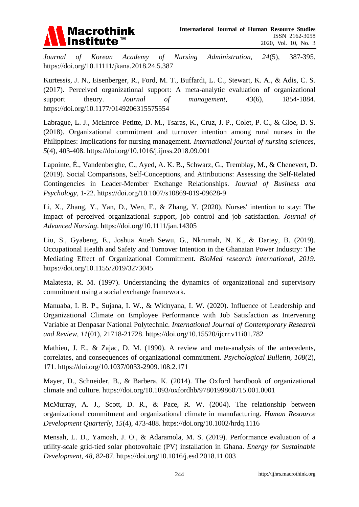

*Journal of Korean Academy of Nursing Administration, 24*(5), 387-395. <https://doi.org/10.11111/jkana.2018.24.5.387>

Kurtessis, J. N., Eisenberger, R., Ford, M. T., Buffardi, L. C., Stewart, K. A., & Adis, C. S. (2017). Perceived organizational support: A meta-analytic evaluation of organizational support theory. *Journal of management, 43*(6), 1854-1884. <https://doi.org/10.1177/0149206315575554>

Labrague, L. J., McEnroe–Petitte, D. M., Tsaras, K., Cruz, J. P., Colet, P. C., & Gloe, D. S. (2018). Organizational commitment and turnover intention among rural nurses in the Philippines: Implications for nursing management. *International journal of nursing sciences, 5*(4), 403-408.<https://doi.org/10.1016/j.ijnss.2018.09.001>

Lapointe, É., Vandenberghe, C., Ayed, A. K. B., Schwarz, G., Tremblay, M., & Chenevert, D. (2019). Social Comparisons, Self-Conceptions, and Attributions: Assessing the Self-Related Contingencies in Leader-Member Exchange Relationships. *Journal of Business and Psychology*, 1-22.<https://doi.org/10.1007/s10869-019-09628-9>

Li, X., Zhang, Y., Yan, D., Wen, F., & Zhang, Y. (2020). Nurses' intention to stay: The impact of perceived organizational support, job control and job satisfaction. *Journal of Advanced Nursing*.<https://doi.org/10.1111/jan.14305>

Liu, S., Gyabeng, E., Joshua Atteh Sewu, G., Nkrumah, N. K., & Dartey, B. (2019). Occupational Health and Safety and Turnover Intention in the Ghanaian Power Industry: The Mediating Effect of Organizational Commitment. *BioMed research international, 2019*. <https://doi.org/10.1155/2019/3273045>

Malatesta, R. M. (1997). Understanding the dynamics of organizational and supervisory commitment using a social exchange framework.

Manuaba, I. B. P., Sujana, I. W., & Widnyana, I. W. (2020). Influence of Leadership and Organizational Climate on Employee Performance with Job Satisfaction as Intervening Variable at Denpasar National Polytechnic. *International Journal of Contemporary Research and Review, 11*(01), 21718-21728.<https://doi.org/10.15520/ijcrr.v11i01.782>

Mathieu, J. E., & Zajac, D. M. (1990). A review and meta-analysis of the antecedents, correlates, and consequences of organizational commitment. *Psychological Bulletin, 108*(2), 171.<https://doi.org/10.1037/0033-2909.108.2.171>

Mayer, D., Schneider, B., & Barbera, K. (2014). The Oxford handbook of organizational climate and culture.<https://doi.org/10.1093/oxfordhb/9780199860715.001.0001>

McMurray, A. J., Scott, D. R., & Pace, R. W. (2004). The relationship between organizational commitment and organizational climate in manufacturing. *Human Resource Development Quarterly, 15*(4), 473-488.<https://doi.org/10.1002/hrdq.1116>

Mensah, L. D., Yamoah, J. O., & Adaramola, M. S. (2019). Performance evaluation of a utility-scale grid-tied solar photovoltaic (PV) installation in Ghana. *Energy for Sustainable Development, 48*, 82-87.<https://doi.org/10.1016/j.esd.2018.11.003>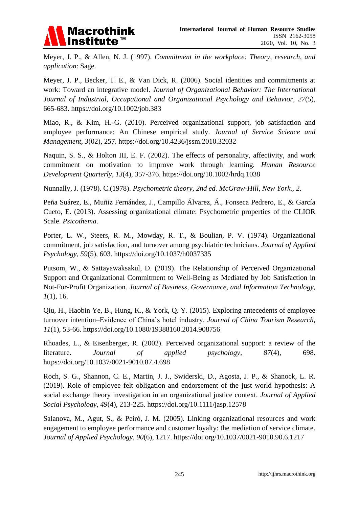

Meyer, J. P., & Allen, N. J. (1997). *Commitment in the workplace: Theory, research, and application*: Sage.

Meyer, J. P., Becker, T. E., & Van Dick, R. (2006). Social identities and commitments at work: Toward an integrative model. *Journal of Organizational Behavior: The International Journal of Industrial, Occupational and Organizational Psychology and Behavior, 27*(5), 665-683.<https://doi.org/10.1002/job.383>

Miao, R., & Kim, H.-G. (2010). Perceived organizational support, job satisfaction and employee performance: An Chinese empirical study. *Journal of Service Science and Management, 3*(02), 257.<https://doi.org/10.4236/jssm.2010.32032>

Naquin, S. S., & Holton III, E. F. (2002). The effects of personality, affectivity, and work commitment on motivation to improve work through learning. *Human Resource Development Quarterly, 13*(4), 357-376.<https://doi.org/10.1002/hrdq.1038>

Nunnally, J. (1978). C.(1978). *Psychometric theory, 2nd ed. McGraw-Hill, New York., 2*.

Peña Suárez, E., Muñiz Fernández, J., Campillo Álvarez, Á., Fonseca Pedrero, E., & García Cueto, E. (2013). Assessing organizational climate: Psychometric properties of the CLIOR Scale. *Psicothema*.

Porter, L. W., Steers, R. M., Mowday, R. T., & Boulian, P. V. (1974). Organizational commitment, job satisfaction, and turnover among psychiatric technicians. *Journal of Applied Psychology, 59*(5), 603.<https://doi.org/10.1037/h0037335>

Putsom, W., & Sattayawaksakul, D. (2019). The Relationship of Perceived Organizational Support and Organizational Commitment to Well-Being as Mediated by Job Satisfaction in Not-For-Profit Organization. *Journal of Business, Governance, and Information Technology, 1*(1), 16.

Qiu, H., Haobin Ye, B., Hung, K., & York, Q. Y. (2015). Exploring antecedents of employee turnover intention–Evidence of China's hotel industry. *Journal of China Tourism Research, 11*(1), 53-66.<https://doi.org/10.1080/19388160.2014.908756>

Rhoades, L., & Eisenberger, R. (2002). Perceived organizational support: a review of the literature. *Journal of applied psychology, 87*(4), 698. <https://doi.org/10.1037/0021-9010.87.4.698>

Roch, S. G., Shannon, C. E., Martin, J. J., Swiderski, D., Agosta, J. P., & Shanock, L. R. (2019). Role of employee felt obligation and endorsement of the just world hypothesis: A social exchange theory investigation in an organizational justice context. *Journal of Applied Social Psychology, 49*(4), 213-225.<https://doi.org/10.1111/jasp.12578>

Salanova, M., Agut, S., & Peiró, J. M. (2005). Linking organizational resources and work engagement to employee performance and customer loyalty: the mediation of service climate. *Journal of Applied Psychology, 90*(6), 1217.<https://doi.org/10.1037/0021-9010.90.6.1217>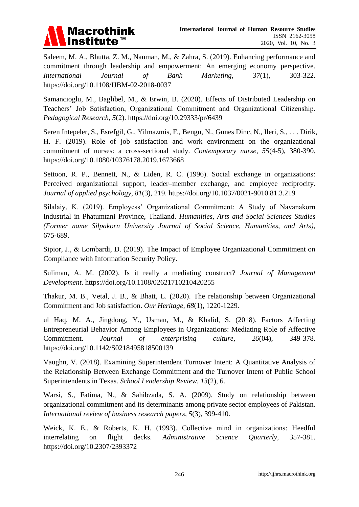

Saleem, M. A., Bhutta, Z. M., Nauman, M., & Zahra, S. (2019). Enhancing performance and commitment through leadership and empowerment: An emerging economy perspective. *International Journal of Bank Marketing, 37*(1), 303-322. <https://doi.org/10.1108/IJBM-02-2018-0037>

Samancioglu, M., Baglibel, M., & Erwin, B. (2020). Effects of Distributed Leadership on Teachers' Job Satisfaction, Organizational Commitment and Organizational Citizenship. *Pedagogical Research, 5*(2).<https://doi.org/10.29333/pr/6439>

Seren Intepeler, S., Esrefgil, G., Yilmazmis, F., Bengu, N., Gunes Dinc, N., Ileri, S., . . . Dirik, H. F. (2019). Role of job satisfaction and work environment on the organizational commitment of nurses: a cross-sectional study. *Contemporary nurse, 55*(4-5), 380-390. <https://doi.org/10.1080/10376178.2019.1673668>

Settoon, R. P., Bennett, N., & Liden, R. C. (1996). Social exchange in organizations: Perceived organizational support, leader–member exchange, and employee reciprocity. *Journal of applied psychology, 81*(3), 219.<https://doi.org/10.1037/0021-9010.81.3.219>

Silalaiy, K. (2019). Employess' Organizational Commitment: A Study of Navanakorn Industrial in Phatumtani Province, Thailand. *Humanities, Arts and Social Sciences Studies (Former name Silpakorn University Journal of Social Science, Humanities, and Arts)*, 675-689.

Sipior, J., & Lombardi, D. (2019). The Impact of Employee Organizational Commitment on Compliance with Information Security Policy.

Suliman, A. M. (2002). Is it really a mediating construct? *Journal of Management Development*.<https://doi.org/10.1108/02621710210420255>

Thakur, M. B., Vetal, J. B., & Bhatt, L. (2020). The relationship between Organizational Commitment and Job satisfaction. *Our Heritage, 68*(1), 1220-1229.

ul Haq, M. A., Jingdong, Y., Usman, M., & Khalid, S. (2018). Factors Affecting Entrepreneurial Behavior Among Employees in Organizations: Mediating Role of Affective Commitment. *Journal of enterprising culture, 26*(04), 349-378. <https://doi.org/10.1142/S0218495818500139>

Vaughn, V. (2018). Examining Superintendent Turnover Intent: A Quantitative Analysis of the Relationship Between Exchange Commitment and the Turnover Intent of Public School Superintendents in Texas. *School Leadership Review, 13*(2), 6.

Warsi, S., Fatima, N., & Sahibzada, S. A. (2009). Study on relationship between organizational commitment and its determinants among private sector employees of Pakistan. *International review of business research papers, 5*(3), 399-410.

Weick, K. E., & Roberts, K. H. (1993). Collective mind in organizations: Heedful interrelating on flight decks. *Administrative Science Quarterly*, 357-381. <https://doi.org/10.2307/2393372>